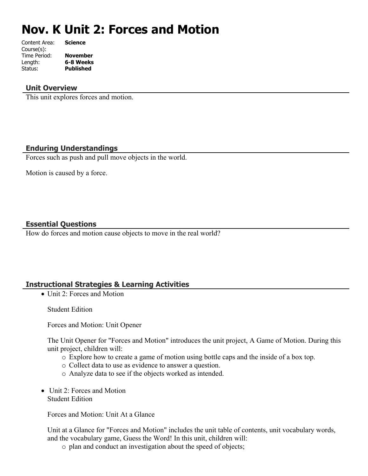# **Nov. K Unit 2: Forces and Motion**

| Content Area: | <b>Science</b>   |
|---------------|------------------|
| Course(s):    |                  |
| Time Period:  | <b>November</b>  |
| Length:       | 6-8 Weeks        |
| Status:       | <b>Published</b> |
|               |                  |

#### **Unit Overview**

This unit explores forces and motion.

# **Enduring Understandings**

Forces such as push and pull move objects in the world.

Motion is caused by a force.

# **Essential Questions**

How do forces and motion cause objects to move in the real world?

# **Instructional Strategies & Learning Activities**

• Unit 2: Forces and Motion

Student Edition

Forces and Motion: Unit Opener

The Unit Opener for "Forces and Motion" introduces the unit project, A Game of Motion. During this unit project, children will:

- o Explore how to create a game of motion using bottle caps and the inside of a box top.
- o Collect data to use as evidence to answer a question.
- o Analyze data to see if the objects worked as intended.
- Unit 2: Forces and Motion Student Edition

Forces and Motion: Unit At a Glance

Unit at a Glance for "Forces and Motion" includes the unit table of contents, unit vocabulary words, and the vocabulary game, Guess the Word! In this unit, children will:

o plan and conduct an investigation about the speed of objects;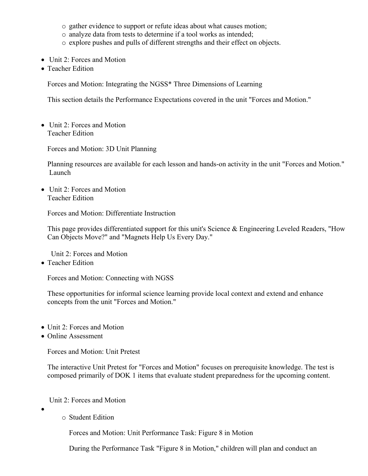- o gather evidence to support or refute ideas about what causes motion;
- o analyze data from tests to determine if a tool works as intended;
- o explore pushes and pulls of different strengths and their effect on objects.
- Unit 2: Forces and Motion
- Teacher Edition

Forces and Motion: Integrating the NGSS\* Three Dimensions of Learning

This section details the Performance Expectations covered in the unit "Forces and Motion."

• Unit 2: Forces and Motion Teacher Edition

Forces and Motion: 3D Unit Planning

Planning resources are available for each lesson and hands-on activity in the unit "Forces and Motion." Launch

• Unit 2: Forces and Motion Teacher Edition

Forces and Motion: Differentiate Instruction

This page provides differentiated support for this unit's Science & Engineering Leveled Readers, "How Can Objects Move?" and "Magnets Help Us Every Day."

Unit 2: Forces and Motion

• Teacher Edition

Forces and Motion: Connecting with NGSS

These opportunities for informal science learning provide local context and extend and enhance concepts from the unit "Forces and Motion."

- Unit 2: Forces and Motion
- Online Assessment

Forces and Motion: Unit Pretest

The interactive Unit Pretest for "Forces and Motion" focuses on prerequisite knowledge. The test is composed primarily of DOK 1 items that evaluate student preparedness for the upcoming content.

Unit 2: Forces and Motion

- $\bullet$
- o Student Edition

Forces and Motion: Unit Performance Task: Figure 8 in Motion

During the Performance Task "Figure 8 in Motion," children will plan and conduct an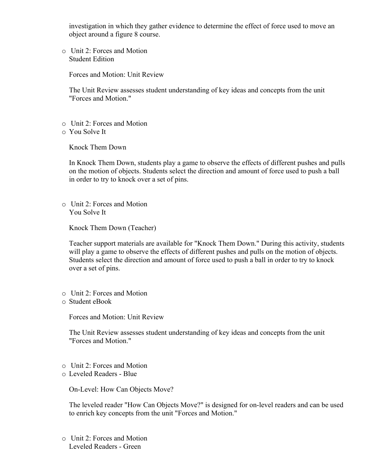investigation in which they gather evidence to determine the effect of force used to move an object around a figure 8 course.

o Unit 2: Forces and Motion Student Edition

Forces and Motion: Unit Review

The Unit Review assesses student understanding of key ideas and concepts from the unit "Forces and Motion."

- o Unit 2: Forces and Motion
- o You Solve It

Knock Them Down

In Knock Them Down, students play a game to observe the effects of different pushes and pulls on the motion of objects. Students select the direction and amount of force used to push a ball in order to try to knock over a set of pins.

o Unit 2: Forces and Motion You Solve It

Knock Them Down (Teacher)

Teacher support materials are available for "Knock Them Down." During this activity, students will play a game to observe the effects of different pushes and pulls on the motion of objects. Students select the direction and amount of force used to push a ball in order to try to knock over a set of pins.

- o Unit 2: Forces and Motion
- o Student eBook

Forces and Motion: Unit Review

The Unit Review assesses student understanding of key ideas and concepts from the unit "Forces and Motion."

- o Unit 2: Forces and Motion
- o Leveled Readers Blue

On-Level: How Can Objects Move?

The leveled reader "How Can Objects Move?" is designed for on-level readers and can be used to enrich key concepts from the unit "Forces and Motion."

o Unit 2: Forces and Motion Leveled Readers - Green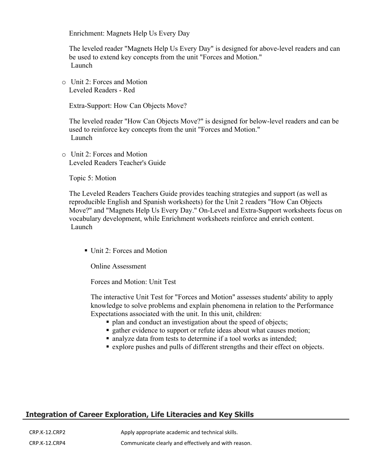Enrichment: Magnets Help Us Every Day

The leveled reader "Magnets Help Us Every Day" is designed for above-level readers and can be used to extend key concepts from the unit "Forces and Motion." Launch

o Unit 2: Forces and Motion Leveled Readers - Red

Extra-Support: How Can Objects Move?

The leveled reader "How Can Objects Move?" is designed for below-level readers and can be used to reinforce key concepts from the unit "Forces and Motion." Launch

o Unit 2: Forces and Motion Leveled Readers Teacher's Guide

Topic 5: Motion

The Leveled Readers Teachers Guide provides teaching strategies and support (as well as reproducible English and Spanish worksheets) for the Unit 2 readers "How Can Objects Move?" and "Magnets Help Us Every Day." On-Level and Extra-Support worksheets focus on vocabulary development, while Enrichment worksheets reinforce and enrich content. Launch

Unit 2: Forces and Motion

Online Assessment

Forces and Motion: Unit Test

The interactive Unit Test for "Forces and Motion" assesses students' ability to apply knowledge to solve problems and explain phenomena in relation to the Performance Expectations associated with the unit. In this unit, children:

- plan and conduct an investigation about the speed of objects;
- **gather evidence to support or refute ideas about what causes motion;**
- analyze data from tests to determine if a tool works as intended;
- explore pushes and pulls of different strengths and their effect on objects.

# **Integration of Career Exploration, Life Literacies and Key Skills**

CRP.K-12.CRP2 Apply appropriate academic and technical skills. CRP.K-12.CRP4 Communicate clearly and effectively and with reason.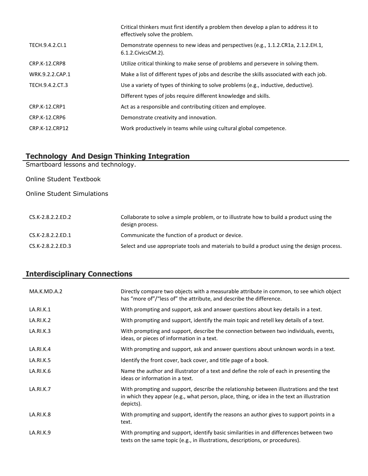|                      | Critical thinkers must first identify a problem then develop a plan to address it to<br>effectively solve the problem. |
|----------------------|------------------------------------------------------------------------------------------------------------------------|
| TECH.9.4.2.Cl.1      | Demonstrate openness to new ideas and perspectives (e.g., 1.1.2.CR1a, 2.1.2.EH.1,<br>6.1.2. Civics CM. 2).             |
| CRP.K-12.CRP8        | Utilize critical thinking to make sense of problems and persevere in solving them.                                     |
| WRK.9.2.2.CAP.1      | Make a list of different types of jobs and describe the skills associated with each job.                               |
| TECH.9.4.2.CT.3      | Use a variety of types of thinking to solve problems (e.g., inductive, deductive).                                     |
|                      | Different types of jobs require different knowledge and skills.                                                        |
| CRP.K-12.CRP1        | Act as a responsible and contributing citizen and employee.                                                            |
| <b>CRP.K-12.CRP6</b> | Demonstrate creativity and innovation.                                                                                 |
| CRP.K-12.CRP12       | Work productively in teams while using cultural global competence.                                                     |

#### **Technology And Design Thinking Integration**

Smartboard lessons and technology.

Online Student Textbook

Online Student Simulations

| CS.K-2.8.2.2.ED.2 | Collaborate to solve a simple problem, or to illustrate how to build a product using the<br>design process. |
|-------------------|-------------------------------------------------------------------------------------------------------------|
| CS.K-2.8.2.2.ED.1 | Communicate the function of a product or device.                                                            |
| CS.K-2.8.2.2.ED.3 | Select and use appropriate tools and materials to build a product using the design process.                 |

# **Interdisciplinary Connections**

| MA.K.MD.A.2 | Directly compare two objects with a measurable attribute in common, to see which object<br>has "more of"/"less of" the attribute, and describe the difference.                                      |
|-------------|-----------------------------------------------------------------------------------------------------------------------------------------------------------------------------------------------------|
| LA.RI.K.1   | With prompting and support, ask and answer questions about key details in a text.                                                                                                                   |
| LA.RI.K.2   | With prompting and support, identify the main topic and retell key details of a text.                                                                                                               |
| LA.RI.K.3   | With prompting and support, describe the connection between two individuals, events,<br>ideas, or pieces of information in a text.                                                                  |
| LA.RI.K.4   | With prompting and support, ask and answer questions about unknown words in a text.                                                                                                                 |
| LA.RI.K.5   | Identify the front cover, back cover, and title page of a book.                                                                                                                                     |
| LA.RI.K.6   | Name the author and illustrator of a text and define the role of each in presenting the<br>ideas or information in a text.                                                                          |
| LA.RI.K.7   | With prompting and support, describe the relationship between illustrations and the text<br>in which they appear (e.g., what person, place, thing, or idea in the text an illustration<br>depicts). |
| LA.RI.K.8   | With prompting and support, identify the reasons an author gives to support points in a<br>text.                                                                                                    |
| LA.RI.K.9   | With prompting and support, identify basic similarities in and differences between two<br>texts on the same topic (e.g., in illustrations, descriptions, or procedures).                            |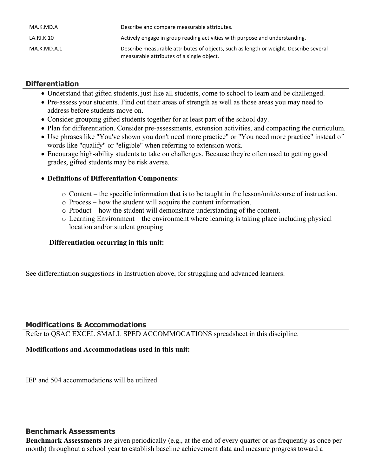| MA.K.MD.A   | Describe and compare measurable attributes.                                                                                        |
|-------------|------------------------------------------------------------------------------------------------------------------------------------|
| LA.RI.K.10  | Actively engage in group reading activities with purpose and understanding.                                                        |
| MA.K.MD.A.1 | Describe measurable attributes of objects, such as length or weight. Describe several<br>measurable attributes of a single object. |

# **Differentiation**

- Understand that gifted students, just like all students, come to school to learn and be challenged.
- Pre-assess your students. Find out their areas of strength as well as those areas you may need to address before students move on.
- Consider grouping gifted students together for at least part of the school day.
- Plan for differentiation. Consider pre-assessments, extension activities, and compacting the curriculum.
- Use phrases like "You've shown you don't need more practice" or "You need more practice" instead of words like "qualify" or "eligible" when referring to extension work.
- Encourage high-ability students to take on challenges. Because they're often used to getting good grades, gifted students may be risk averse.

#### **Definitions of Differentiation Components**:

- o Content the specific information that is to be taught in the lesson/unit/course of instruction.
- o Process how the student will acquire the content information.
- o Product how the student will demonstrate understanding of the content.
- o Learning Environment the environment where learning is taking place including physical location and/or student grouping

#### **Differentiation occurring in this unit:**

See differentiation suggestions in Instruction above, for struggling and advanced learners.

#### **Modifications & Accommodations**

Refer to QSAC EXCEL SMALL SPED ACCOMMOCATIONS spreadsheet in this discipline.

#### **Modifications and Accommodations used in this unit:**

IEP and 504 accommodations will be utilized.

#### **Benchmark Assessments**

**Benchmark Assessments** are given periodically (e.g., at the end of every quarter or as frequently as once per month) throughout a school year to establish baseline achievement data and measure progress toward a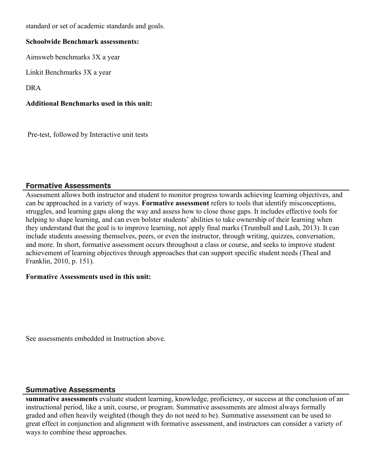standard or set of academic standards and goals.

#### **Schoolwide Benchmark assessments:**

Aimsweb benchmarks 3X a year

Linkit Benchmarks 3X a year

DRA

# **Additional Benchmarks used in this unit:**

Pre-test, followed by Interactive unit tests

# **Formative Assessments**

Assessment allows both instructor and student to monitor progress towards achieving learning objectives, and can be approached in a variety of ways. **Formative assessment** refers to tools that identify misconceptions, struggles, and learning gaps along the way and assess how to close those gaps. It includes effective tools for helping to shape learning, and can even bolster students' abilities to take ownership of their learning when they understand that the goal is to improve learning, not apply final marks (Trumbull and Lash, 2013). It can include students assessing themselves, peers, or even the instructor, through writing, quizzes, conversation, and more. In short, formative assessment occurs throughout a class or course, and seeks to improve student achievement of learning objectives through approaches that can support specific student needs (Theal and Franklin, 2010, p. 151).

#### **Formative Assessments used in this unit:**

See assessments embedded in Instruction above.

#### **Summative Assessments**

**summative assessments** evaluate student learning, knowledge, proficiency, or success at the conclusion of an instructional period, like a unit, course, or program. Summative assessments are almost always formally graded and often heavily weighted (though they do not need to be). Summative assessment can be used to great effect in conjunction and alignment with formative assessment, and instructors can consider a variety of ways to combine these approaches.